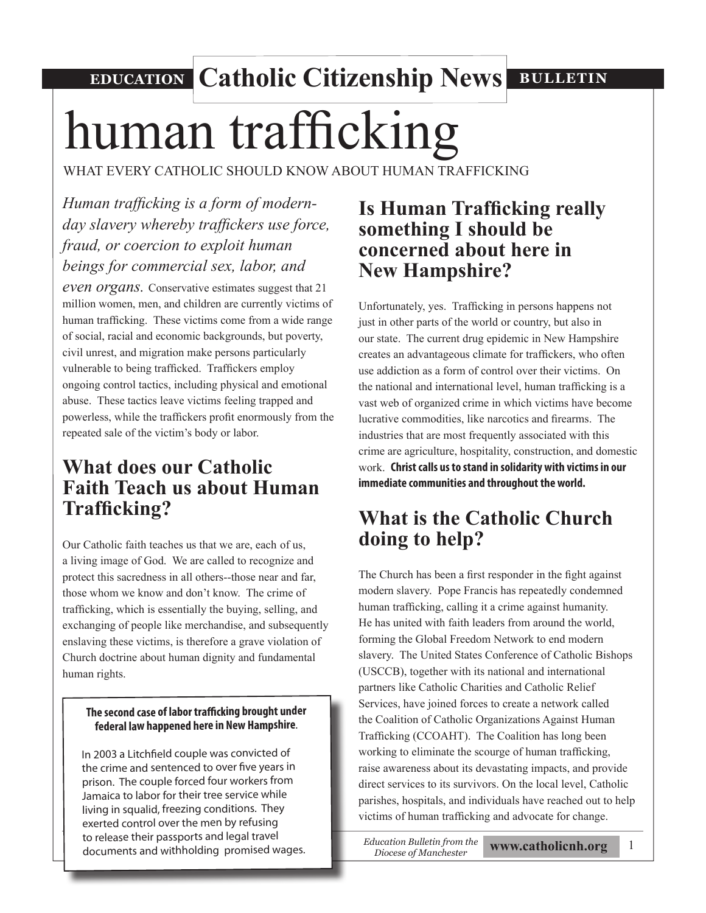### **EDUCATION Catholic Citizenship News BULLETIN**

# human trafficking

WHAT EVERY CATHOLIC SHOULD KNOW ABOUT HUMAN TRAFFICKING

### *Human trafficking is a form of modernday slavery whereby traffickers use force, fraud, or coercion to exploit human beings for commercial sex, labor, and*

*even organs.* Conservative estimates suggest that 21 million women, men, and children are currently victims of human trafficking. These victims come from a wide range of social, racial and economic backgrounds, but poverty, civil unrest, and migration make persons particularly vulnerable to being trafficked. Traffickers employ ongoing control tactics, including physical and emotional abuse. These tactics leave victims feeling trapped and powerless, while the traffickers profit enormously from the repeated sale of the victim's body or labor.

### **What does our Catholic Faith Teach us about Human Trafficking?**

Our Catholic faith teaches us that we are, each of us, a living image of God. We are called to recognize and protect this sacredness in all others--those near and far, those whom we know and don't know. The crime of trafficking, which is essentially the buying, selling, and exchanging of people like merchandise, and subsequently enslaving these victims, is therefore a grave violation of Church doctrine about human dignity and fundamental human rights.

### **The second case of labor trafficking brought under federal law happened here in New Hampshire**.

In 2003 a Litchfield couple was convicted of the crime and sentenced to over five years in prison. The couple forced four workers from Jamaica to labor for their tree service while living in squalid, freezing conditions. They exerted control over the men by refusing to release their passports and legal travel documents and withholding promised wages.

### **Is Human Trafficking really something I should be concerned about here in New Hampshire?**

Unfortunately, yes. Trafficking in persons happens not just in other parts of the world or country, but also in our state. The current drug epidemic in New Hampshire creates an advantageous climate for traffickers, who often use addiction as a form of control over their victims. On the national and international level, human trafficking is a vast web of organized crime in which victims have become lucrative commodities, like narcotics and firearms. The industries that are most frequently associated with this crime are agriculture, hospitality, construction, and domestic work. **Christ calls us to stand in solidarity with victims in our immediate communities and throughout the world.** 

### **What is the Catholic Church doing to help?**

The Church has been a first responder in the fight against modern slavery. Pope Francis has repeatedly condemned human trafficking, calling it a crime against humanity. He has united with faith leaders from around the world, forming the Global Freedom Network to end modern slavery. The United States Conference of Catholic Bishops (USCCB), together with its national and international partners like Catholic Charities and Catholic Relief Services, have joined forces to create a network called the Coalition of Catholic Organizations Against Human Trafficking (CCOAHT). The Coalition has long been working to eliminate the scourge of human trafficking, raise awareness about its devastating impacts, and provide direct services to its survivors. On the local level, Catholic parishes, hospitals, and individuals have reached out to help victims of human trafficking and advocate for change.